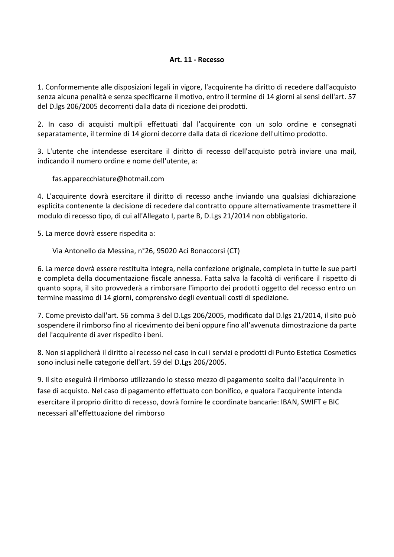## **Art. 11 - Recesso**

1. Conformemente alle disposizioni legali in vigore, l'acquirente ha diritto di recedere dall'acquisto senza alcuna penalità e senza specificarne il motivo, entro il termine di 14 giorni ai sensi dell'art. 57 del D.lgs 206/2005 decorrenti dalla data di ricezione dei prodotti.

2. In caso di acquisti multipli effettuati dal l'acquirente con un solo ordine e consegnati separatamente, il termine di 14 giorni decorre dalla data di ricezione dell'ultimo prodotto.

3. L'utente che intendesse esercitare il diritto di recesso dell'acquisto potrà inviare una mail, indicando il numero ordine e nome dell'utente, a:

fas.apparecchiature@hotmail.com

4. L'acquirente dovrà esercitare il diritto di recesso anche inviando una qualsiasi dichiarazione esplicita contenente la decisione di recedere dal contratto oppure alternativamente trasmettere il modulo di recesso tipo, di cui all'Allegato I, parte B, D.Lgs 21/2014 non obbligatorio.

5. La merce dovrà essere rispedita a:

Via Antonello da Messina, n°26, 95020 Aci Bonaccorsi (CT)

6. La merce dovrà essere restituita integra, nella confezione originale, completa in tutte le sue parti e completa della documentazione fiscale annessa. Fatta salva la facoltà di verificare il rispetto di quanto sopra, il sito provvederà a rimborsare l'importo dei prodotti oggetto del recesso entro un termine massimo di 14 giorni, comprensivo degli eventuali costi di spedizione.

7. Come previsto dall'art. 56 comma 3 del D.Lgs 206/2005, modificato dal D.lgs 21/2014, il sito può sospendere il rimborso fino al ricevimento dei beni oppure fino all'avvenuta dimostrazione da parte del l'acquirente di aver rispedito i beni.

8. Non si applicherà il diritto al recesso nel caso in cui i servizi e prodotti di Punto Estetica Cosmetics sono inclusi nelle categorie dell'art. 59 del D.Lgs 206/2005.

9. Il sito eseguirà il rimborso utilizzando lo stesso mezzo di pagamento scelto dal l'acquirente in fase di acquisto. Nel caso di pagamento effettuato con bonifico, e qualora l'acquirente intenda esercitare il proprio diritto di recesso, dovrà fornire le coordinate bancarie: IBAN, SWIFT e BIC necessari all'effettuazione del rimborso